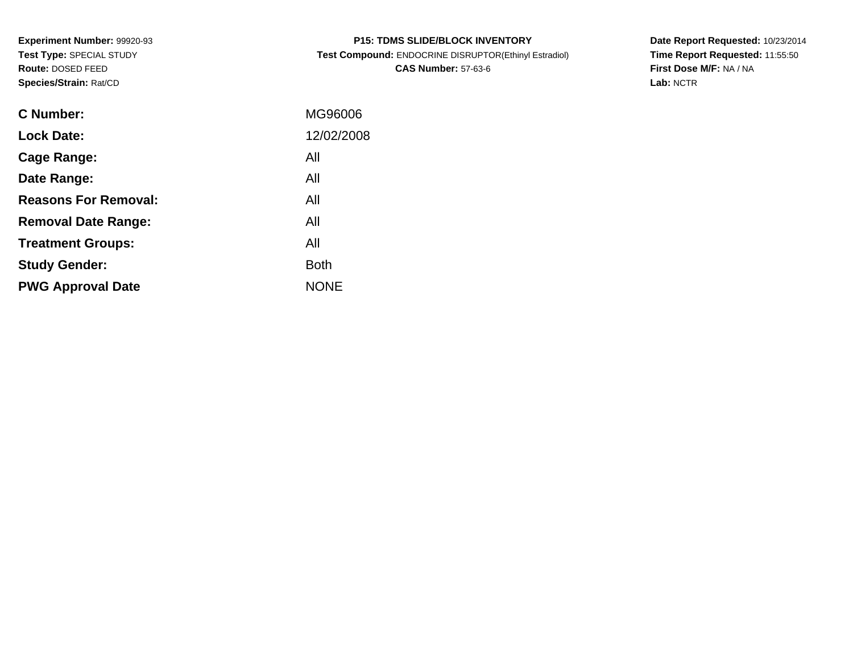**Experiment Number:** 99920-93**Test Type:** SPECIAL STUDY**Route:** DOSED FEED**Species/Strain:** Rat/CD

| <b>P15: TDMS SLIDE/BLOCK INVENTORY</b>                |
|-------------------------------------------------------|
| Test Compound: ENDOCRINE DISRUPTOR(Ethinyl Estradiol) |
| <b>CAS Number: 57-63-6</b>                            |

**Date Report Requested:** 10/23/2014 **Time Report Requested:** 11:55:50**First Dose M/F:** NA / NA**Lab:** NCTR

| C Number:                   | MG96006     |
|-----------------------------|-------------|
| <b>Lock Date:</b>           | 12/02/2008  |
| Cage Range:                 | All         |
| Date Range:                 | All         |
| <b>Reasons For Removal:</b> | All         |
| <b>Removal Date Range:</b>  | All         |
| <b>Treatment Groups:</b>    | All         |
| <b>Study Gender:</b>        | <b>Both</b> |
| <b>PWG Approval Date</b>    | <b>NONE</b> |
|                             |             |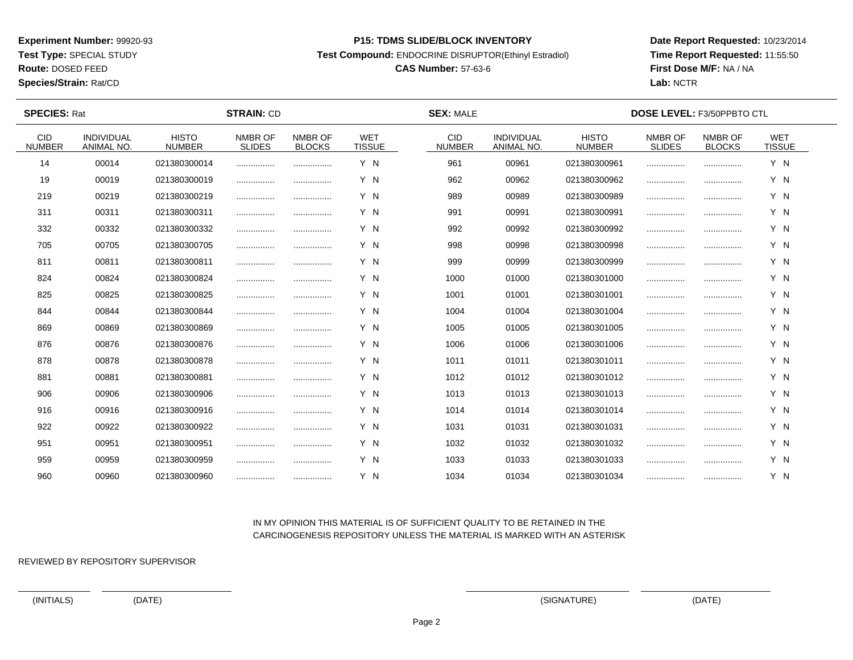**Test Type:** SPECIAL STUDY

**Route:** DOSED FEED

**Species/Strain:** Rat/CD

#### **P15: TDMS SLIDE/BLOCK INVENTORY**

**Test Compound:** ENDOCRINE DISRUPTOR(Ethinyl Estradiol)

# **CAS Number:** 57-63-6

**Date Report Requested:** 10/23/2014**Time Report Requested:** 11:55:50**First Dose M/F:** NA / NA**Lab:** NCTR

| <b>SPECIES: Rat</b>         |                                 |                               | <b>STRAIN: CD</b>        |                          |                             | <b>SEX: MALE</b>            |                                 |                               | <b>DOSE LEVEL: F3/50PPBTO CTL</b> |                          |                             |  |
|-----------------------------|---------------------------------|-------------------------------|--------------------------|--------------------------|-----------------------------|-----------------------------|---------------------------------|-------------------------------|-----------------------------------|--------------------------|-----------------------------|--|
| <b>CID</b><br><b>NUMBER</b> | INDIVIDUAL<br><b>ANIMAL NO.</b> | <b>HISTO</b><br><b>NUMBER</b> | NMBR OF<br><b>SLIDES</b> | NMBR OF<br><b>BLOCKS</b> | <b>WET</b><br><b>TISSUE</b> | <b>CID</b><br><b>NUMBER</b> | INDIVIDUAL<br><b>ANIMAL NO.</b> | <b>HISTO</b><br><b>NUMBER</b> | NMBR OF<br><b>SLIDES</b>          | NMBR OF<br><b>BLOCKS</b> | <b>WET</b><br><b>TISSUE</b> |  |
| 14                          | 00014                           | 021380300014                  |                          |                          | Y N                         | 961                         | 00961                           | 021380300961                  |                                   |                          | Y N                         |  |
| 19                          | 00019                           | 021380300019                  |                          |                          | Y N                         | 962                         | 00962                           | 021380300962                  |                                   |                          | Y N                         |  |
| 219                         | 00219                           | 021380300219                  |                          |                          | Y N                         | 989                         | 00989                           | 021380300989                  |                                   |                          | Y N                         |  |
| 311                         | 00311                           | 021380300311                  |                          |                          | Y N                         | 991                         | 00991                           | 021380300991                  |                                   |                          | Y N                         |  |
| 332                         | 00332                           | 021380300332                  |                          |                          | Y N                         | 992                         | 00992                           | 021380300992                  |                                   |                          | Y N                         |  |
| 705                         | 00705                           | 021380300705                  |                          |                          | Y N                         | 998                         | 00998                           | 021380300998                  |                                   |                          | Y N                         |  |
| 811                         | 00811                           | 021380300811                  |                          |                          | Y N                         | 999                         | 00999                           | 021380300999                  |                                   |                          | Y N                         |  |
| 824                         | 00824                           | 021380300824                  |                          |                          | Y N                         | 1000                        | 01000                           | 021380301000                  |                                   |                          | Y N                         |  |
| 825                         | 00825                           | 021380300825                  |                          |                          | Y N                         | 1001                        | 01001                           | 021380301001                  |                                   |                          | Y N                         |  |
| 844                         | 00844                           | 021380300844                  |                          |                          | Y N                         | 1004                        | 01004                           | 021380301004                  |                                   |                          | Y N                         |  |
| 869                         | 00869                           | 021380300869                  |                          |                          | Y N                         | 1005                        | 01005                           | 021380301005                  |                                   |                          | Y N                         |  |
| 876                         | 00876                           | 021380300876                  |                          |                          | Y N                         | 1006                        | 01006                           | 021380301006                  |                                   |                          | Y N                         |  |
| 878                         | 00878                           | 021380300878                  |                          |                          | Y N                         | 1011                        | 01011                           | 021380301011                  |                                   |                          | Y N                         |  |
| 881                         | 00881                           | 021380300881                  |                          |                          | Y N                         | 1012                        | 01012                           | 021380301012                  |                                   |                          | Y N                         |  |
| 906                         | 00906                           | 021380300906                  |                          |                          | Y N                         | 1013                        | 01013                           | 021380301013                  |                                   |                          | Y N                         |  |
| 916                         | 00916                           | 021380300916                  |                          |                          | Y N                         | 1014                        | 01014                           | 021380301014                  |                                   |                          | Y N                         |  |
| 922                         | 00922                           | 021380300922                  |                          |                          | Y N                         | 1031                        | 01031                           | 021380301031                  |                                   |                          | Y N                         |  |
| 951                         | 00951                           | 021380300951                  |                          |                          | Y N                         | 1032                        | 01032                           | 021380301032                  |                                   |                          | Y N                         |  |
| 959                         | 00959                           | 021380300959                  |                          |                          | Y N                         | 1033                        | 01033                           | 021380301033                  |                                   |                          | Y N                         |  |
| 960                         | 00960                           | 021380300960                  |                          |                          | Y N                         | 1034                        | 01034                           | 021380301034                  |                                   |                          | Y N                         |  |

## IN MY OPINION THIS MATERIAL IS OF SUFFICIENT QUALITY TO BE RETAINED IN THECARCINOGENESIS REPOSITORY UNLESS THE MATERIAL IS MARKED WITH AN ASTERISK

REVIEWED BY REPOSITORY SUPERVISOR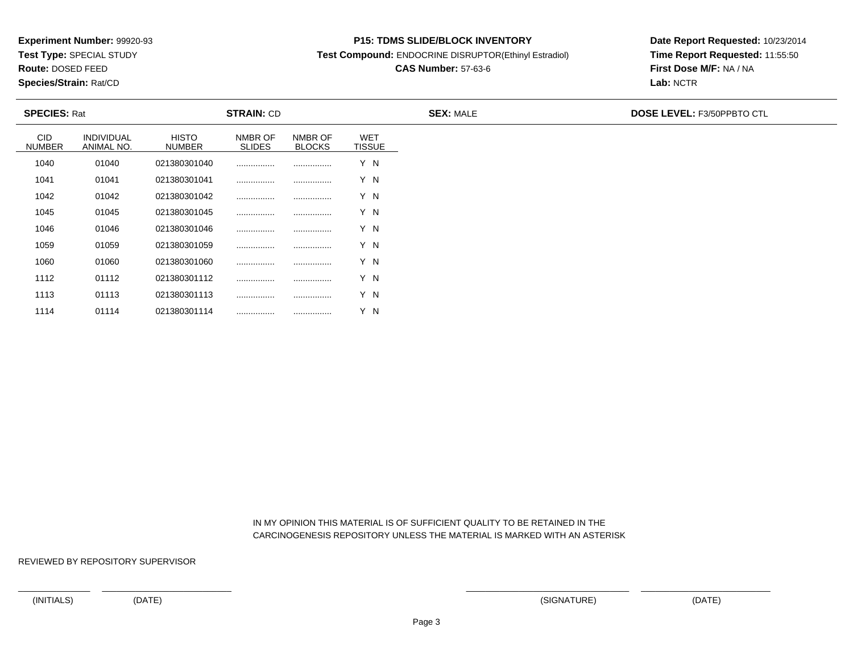**Test Type:** SPECIAL STUDY

**Route:** DOSED FEED

1114

**Species/Strain:** Rat/CD

#### **P15: TDMS SLIDE/BLOCK INVENTORY**

**Test Compound:** ENDOCRINE DISRUPTOR(Ethinyl Estradiol)

# **CAS Number:** 57-63-6

**Date Report Requested:** 10/23/2014**Time Report Requested:** 11:55:50**First Dose M/F:** NA / NA**Lab:** NCTR

| <b>SPECIES: Rat</b>         |                          |                        | <b>STRAIN: CD</b>        |                          |                             | <b>SEX: MALE</b> | <b>DOSE LEVEL: F3/50PPBTO CTL</b> |
|-----------------------------|--------------------------|------------------------|--------------------------|--------------------------|-----------------------------|------------------|-----------------------------------|
| <b>CID</b><br><b>NUMBER</b> | INDIVIDUAL<br>ANIMAL NO. | <b>HISTO</b><br>NUMBER | NMBR OF<br><b>SLIDES</b> | NMBR OF<br><b>BLOCKS</b> | <b>WET</b><br><b>TISSUE</b> |                  |                                   |
| 1040                        | 01040                    | 021380301040           |                          |                          | Y N                         |                  |                                   |
| 1041                        | 01041                    | 021380301041           |                          |                          | Y N                         |                  |                                   |
| 1042                        | 01042                    | 021380301042           |                          |                          | Y N                         |                  |                                   |
| 1045                        | 01045                    | 021380301045           |                          |                          | Y N                         |                  |                                   |
| 1046                        | 01046                    | 021380301046           |                          |                          | Y N                         |                  |                                   |
| 1059                        | 01059                    | 021380301059           |                          |                          | Y N                         |                  |                                   |
| 1060                        | 01060                    | 021380301060           |                          |                          | Y N                         |                  |                                   |
| 1112                        | 01112                    | 021380301112           |                          |                          | Y N                         |                  |                                   |
| 1113                        | 01113                    | 021380301113           |                          |                          | Y N                         |                  |                                   |

 IN MY OPINION THIS MATERIAL IS OF SUFFICIENT QUALITY TO BE RETAINED IN THECARCINOGENESIS REPOSITORY UNLESS THE MATERIAL IS MARKED WITH AN ASTERISK

REVIEWED BY REPOSITORY SUPERVISOR

<sup>01114</sup> <sup>021380301114</sup> ................ ................ Y N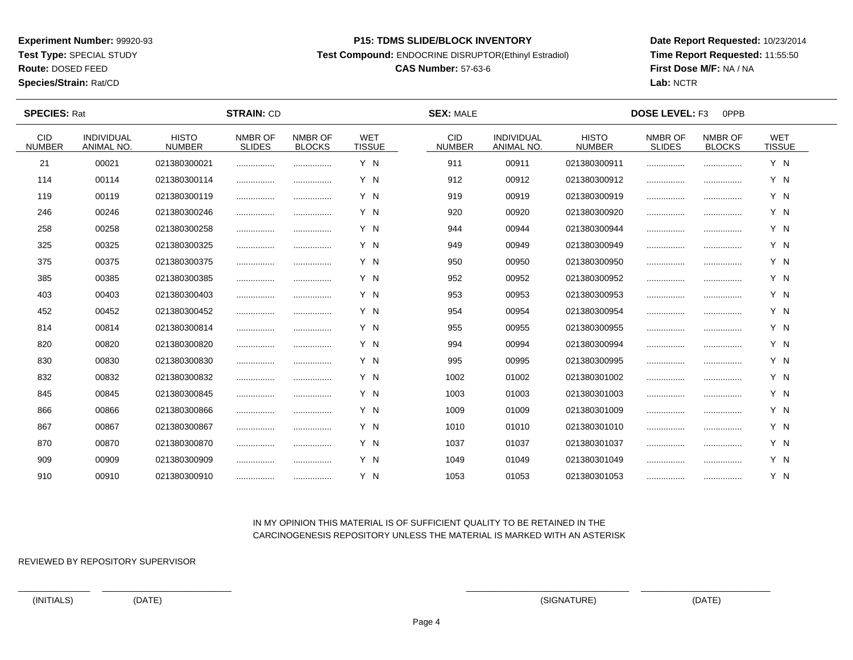**Test Type:** SPECIAL STUDY

**Route:** DOSED FEED

**Species/Strain:** Rat/CD

#### **P15: TDMS SLIDE/BLOCK INVENTORY**

**Test Compound:** ENDOCRINE DISRUPTOR(Ethinyl Estradiol)

# **CAS Number:** 57-63-6

**Date Report Requested:** 10/23/2014**Time Report Requested:** 11:55:50**First Dose M/F:** NA / NA**Lab:** NCTR

| <b>SPECIES: Rat</b>   |                                 |                               | <b>STRAIN: CD</b>        |                          |                             | <b>SEX: MALE</b>      |                                 |                               | <b>DOSE LEVEL: F3</b><br>0PPB |                          |                             |  |
|-----------------------|---------------------------------|-------------------------------|--------------------------|--------------------------|-----------------------------|-----------------------|---------------------------------|-------------------------------|-------------------------------|--------------------------|-----------------------------|--|
| CID.<br><b>NUMBER</b> | <b>INDIVIDUAL</b><br>ANIMAL NO. | <b>HISTO</b><br><b>NUMBER</b> | NMBR OF<br><b>SLIDES</b> | NMBR OF<br><b>BLOCKS</b> | <b>WET</b><br><b>TISSUE</b> | CID.<br><b>NUMBER</b> | <b>INDIVIDUAL</b><br>ANIMAL NO. | <b>HISTO</b><br><b>NUMBER</b> | NMBR OF<br><b>SLIDES</b>      | NMBR OF<br><b>BLOCKS</b> | <b>WET</b><br><b>TISSUE</b> |  |
| 21                    | 00021                           | 021380300021                  |                          |                          | Y N                         | 911                   | 00911                           | 021380300911                  |                               |                          | Y N                         |  |
| 114                   | 00114                           | 021380300114                  |                          |                          | Y N                         | 912                   | 00912                           | 021380300912                  |                               |                          | Y N                         |  |
| 119                   | 00119                           | 021380300119                  |                          |                          | Y N                         | 919                   | 00919                           | 021380300919                  |                               |                          | Y N                         |  |
| 246                   | 00246                           | 021380300246                  |                          |                          | Y N                         | 920                   | 00920                           | 021380300920                  |                               |                          | Y N                         |  |
| 258                   | 00258                           | 021380300258                  |                          |                          | Y N                         | 944                   | 00944                           | 021380300944                  |                               |                          | Y N                         |  |
| 325                   | 00325                           | 021380300325                  |                          |                          | Y N                         | 949                   | 00949                           | 021380300949                  |                               |                          | Y N                         |  |
| 375                   | 00375                           | 021380300375                  |                          |                          | Y N                         | 950                   | 00950                           | 021380300950                  |                               |                          | Y N                         |  |
| 385                   | 00385                           | 021380300385                  |                          |                          | Y N                         | 952                   | 00952                           | 021380300952                  |                               |                          | Y N                         |  |
| 403                   | 00403                           | 021380300403                  |                          |                          | Y N                         | 953                   | 00953                           | 021380300953                  |                               |                          | Y N                         |  |
| 452                   | 00452                           | 021380300452                  |                          |                          | Y N                         | 954                   | 00954                           | 021380300954                  |                               |                          | Y N                         |  |
| 814                   | 00814                           | 021380300814                  |                          |                          | Y N                         | 955                   | 00955                           | 021380300955                  |                               |                          | Y N                         |  |
| 820                   | 00820                           | 021380300820                  |                          |                          | Y N                         | 994                   | 00994                           | 021380300994                  |                               |                          | Y N                         |  |
| 830                   | 00830                           | 021380300830                  |                          |                          | Y N                         | 995                   | 00995                           | 021380300995                  |                               |                          | Y N                         |  |
| 832                   | 00832                           | 021380300832                  |                          |                          | Y N                         | 1002                  | 01002                           | 021380301002                  |                               |                          | Y N                         |  |
| 845                   | 00845                           | 021380300845                  |                          |                          | Y N                         | 1003                  | 01003                           | 021380301003                  |                               |                          | Y N                         |  |
| 866                   | 00866                           | 021380300866                  |                          |                          | Y N                         | 1009                  | 01009                           | 021380301009                  |                               |                          | Y N                         |  |
| 867                   | 00867                           | 021380300867                  |                          |                          | Y N                         | 1010                  | 01010                           | 021380301010                  |                               |                          | Y N                         |  |
| 870                   | 00870                           | 021380300870                  |                          |                          | Y N                         | 1037                  | 01037                           | 021380301037                  |                               |                          | Y N                         |  |
| 909                   | 00909                           | 021380300909                  |                          |                          | Y N                         | 1049                  | 01049                           | 021380301049                  |                               |                          | Y N                         |  |
| 910                   | 00910                           | 021380300910                  |                          |                          | Y N                         | 1053                  | 01053                           | 021380301053                  |                               |                          | Y N                         |  |

## IN MY OPINION THIS MATERIAL IS OF SUFFICIENT QUALITY TO BE RETAINED IN THECARCINOGENESIS REPOSITORY UNLESS THE MATERIAL IS MARKED WITH AN ASTERISK

REVIEWED BY REPOSITORY SUPERVISOR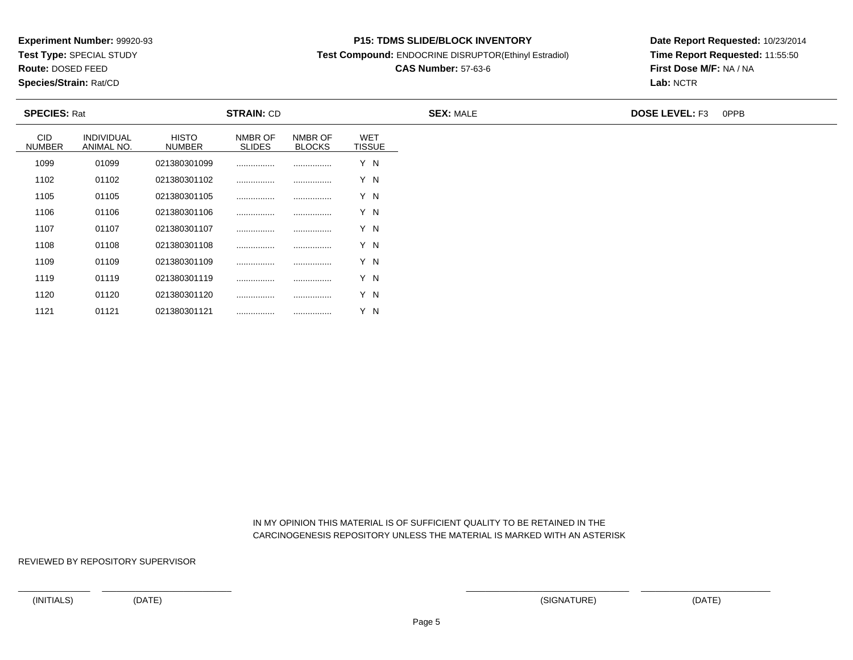**Test Type:** SPECIAL STUDY

**Route:** DOSED FEED

1121

**Species/Strain:** Rat/CD

#### **P15: TDMS SLIDE/BLOCK INVENTORY**

**Test Compound:** ENDOCRINE DISRUPTOR(Ethinyl Estradiol)

# **CAS Number:** 57-63-6

**Date Report Requested:** 10/23/2014**Time Report Requested:** 11:55:50**First Dose M/F:** NA / NA**Lab:** NCTR

| <b>SPECIES: Rat</b>  |                                 |                        | <b>STRAIN: CD</b>        |                          |                             | <b>SEX: MALE</b> | <b>DOSE LEVEL: F3</b> | 0PPB |
|----------------------|---------------------------------|------------------------|--------------------------|--------------------------|-----------------------------|------------------|-----------------------|------|
| CID<br><b>NUMBER</b> | <b>INDIVIDUAL</b><br>ANIMAL NO. | <b>HISTO</b><br>NUMBER | NMBR OF<br><b>SLIDES</b> | NMBR OF<br><b>BLOCKS</b> | <b>WET</b><br><b>TISSUE</b> |                  |                       |      |
| 1099                 | 01099                           | 021380301099           |                          |                          | Y N                         |                  |                       |      |
| 1102                 | 01102                           | 021380301102           |                          |                          | Y N                         |                  |                       |      |
| 1105                 | 01105                           | 021380301105           |                          |                          | Y N                         |                  |                       |      |
| 1106                 | 01106                           | 021380301106           |                          |                          | Y N                         |                  |                       |      |
| 1107                 | 01107                           | 021380301107           |                          |                          | Y N                         |                  |                       |      |
| 1108                 | 01108                           | 021380301108           |                          |                          | Y N                         |                  |                       |      |
| 1109                 | 01109                           | 021380301109           |                          |                          | Y N                         |                  |                       |      |
| 1119                 | 01119                           | 021380301119           | .                        |                          | Y N                         |                  |                       |      |
| 1120                 | 01120                           | 021380301120           |                          |                          | Y N                         |                  |                       |      |

 IN MY OPINION THIS MATERIAL IS OF SUFFICIENT QUALITY TO BE RETAINED IN THECARCINOGENESIS REPOSITORY UNLESS THE MATERIAL IS MARKED WITH AN ASTERISK

REVIEWED BY REPOSITORY SUPERVISOR

<sup>01121</sup> <sup>021380301121</sup> ................ ................ Y N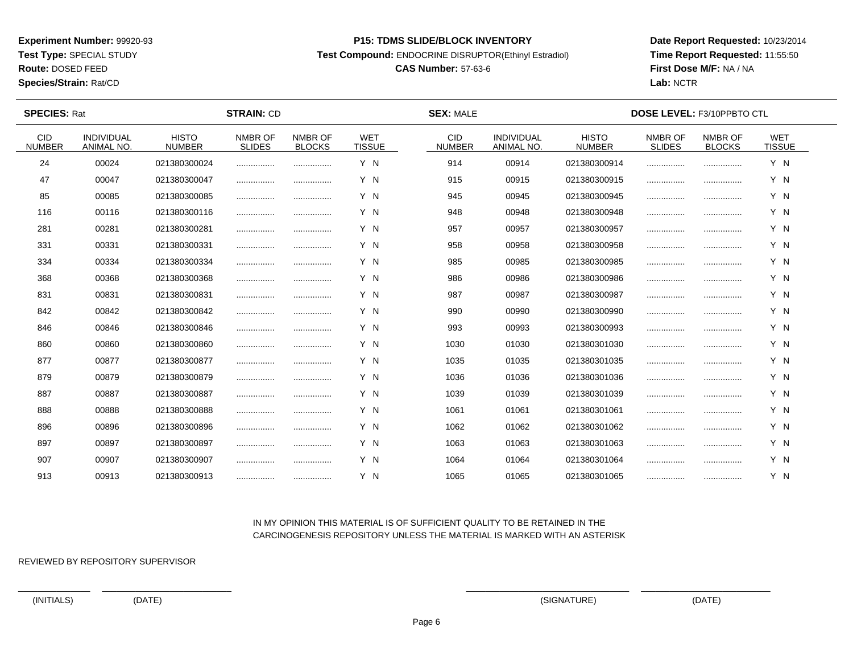**Test Type:** SPECIAL STUDY

**Route:** DOSED FEED

**Species/Strain:** Rat/CD

#### **P15: TDMS SLIDE/BLOCK INVENTORY**

**Test Compound:** ENDOCRINE DISRUPTOR(Ethinyl Estradiol)

# **CAS Number:** 57-63-6

**Date Report Requested:** 10/23/2014**Time Report Requested:** 11:55:50**First Dose M/F:** NA / NA**Lab:** NCTR

| <b>SPECIES: Rat</b>         |                                 |                               | <b>STRAIN: CD</b>        |                          |                             | <b>SEX: MALE</b>            |                                 |                               | <b>DOSE LEVEL: F3/10PPBTO CTL</b> |                          |                             |  |
|-----------------------------|---------------------------------|-------------------------------|--------------------------|--------------------------|-----------------------------|-----------------------------|---------------------------------|-------------------------------|-----------------------------------|--------------------------|-----------------------------|--|
| <b>CID</b><br><b>NUMBER</b> | INDIVIDUAL<br><b>ANIMAL NO.</b> | <b>HISTO</b><br><b>NUMBER</b> | NMBR OF<br><b>SLIDES</b> | NMBR OF<br><b>BLOCKS</b> | <b>WET</b><br><b>TISSUE</b> | <b>CID</b><br><b>NUMBER</b> | INDIVIDUAL<br><b>ANIMAL NO.</b> | <b>HISTO</b><br><b>NUMBER</b> | NMBR OF<br><b>SLIDES</b>          | NMBR OF<br><b>BLOCKS</b> | <b>WET</b><br><b>TISSUE</b> |  |
| 24                          | 00024                           | 021380300024                  |                          |                          | Y N                         | 914                         | 00914                           | 021380300914                  |                                   |                          | Y N                         |  |
| 47                          | 00047                           | 021380300047                  |                          |                          | Y N                         | 915                         | 00915                           | 021380300915                  |                                   |                          | Y N                         |  |
| 85                          | 00085                           | 021380300085                  |                          |                          | Y N                         | 945                         | 00945                           | 021380300945                  |                                   |                          | Y N                         |  |
| 116                         | 00116                           | 021380300116                  |                          |                          | Y N                         | 948                         | 00948                           | 021380300948                  |                                   |                          | Y N                         |  |
| 281                         | 00281                           | 021380300281                  |                          |                          | Y N                         | 957                         | 00957                           | 021380300957                  |                                   |                          | Y N                         |  |
| 331                         | 00331                           | 021380300331                  | .                        | .                        | Y N                         | 958                         | 00958                           | 021380300958                  |                                   |                          | Y N                         |  |
| 334                         | 00334                           | 021380300334                  |                          |                          | Y N                         | 985                         | 00985                           | 021380300985                  |                                   |                          | Y N                         |  |
| 368                         | 00368                           | 021380300368                  |                          |                          | Y N                         | 986                         | 00986                           | 021380300986                  |                                   |                          | Y N                         |  |
| 831                         | 00831                           | 021380300831                  | .                        | .                        | Y N                         | 987                         | 00987                           | 021380300987                  |                                   |                          | Y N                         |  |
| 842                         | 00842                           | 021380300842                  |                          |                          | Y N                         | 990                         | 00990                           | 021380300990                  |                                   |                          | Y N                         |  |
| 846                         | 00846                           | 021380300846                  |                          |                          | Y N                         | 993                         | 00993                           | 021380300993                  |                                   |                          | Y N                         |  |
| 860                         | 00860                           | 021380300860                  | .                        |                          | Y N                         | 1030                        | 01030                           | 021380301030                  |                                   |                          | Y N                         |  |
| 877                         | 00877                           | 021380300877                  |                          |                          | Y N                         | 1035                        | 01035                           | 021380301035                  |                                   |                          | Y N                         |  |
| 879                         | 00879                           | 021380300879                  |                          |                          | Y N                         | 1036                        | 01036                           | 021380301036                  |                                   |                          | Y N                         |  |
| 887                         | 00887                           | 021380300887                  |                          |                          | Y N                         | 1039                        | 01039                           | 021380301039                  |                                   |                          | Y N                         |  |
| 888                         | 00888                           | 021380300888                  |                          |                          | Y N                         | 1061                        | 01061                           | 021380301061                  |                                   |                          | Y N                         |  |
| 896                         | 00896                           | 021380300896                  |                          |                          | Y N                         | 1062                        | 01062                           | 021380301062                  |                                   |                          | Y N                         |  |
| 897                         | 00897                           | 021380300897                  |                          |                          | Y N                         | 1063                        | 01063                           | 021380301063                  |                                   |                          | Y N                         |  |
| 907                         | 00907                           | 021380300907                  |                          |                          | Y N                         | 1064                        | 01064                           | 021380301064                  |                                   |                          | Y N                         |  |
| 913                         | 00913                           | 021380300913                  |                          |                          | Y N                         | 1065                        | 01065                           | 021380301065                  |                                   |                          | Y N                         |  |

## IN MY OPINION THIS MATERIAL IS OF SUFFICIENT QUALITY TO BE RETAINED IN THECARCINOGENESIS REPOSITORY UNLESS THE MATERIAL IS MARKED WITH AN ASTERISK

REVIEWED BY REPOSITORY SUPERVISOR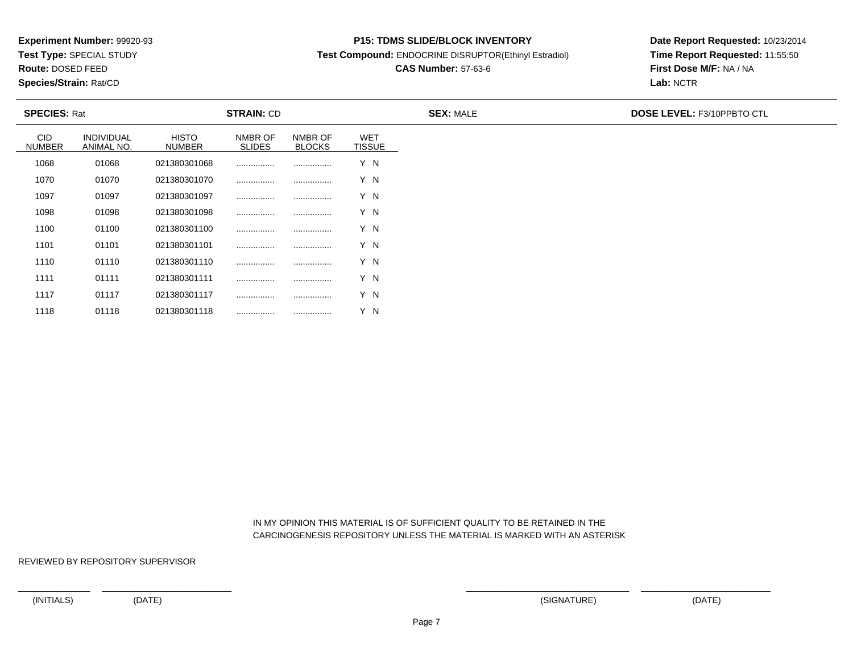**Test Type:** SPECIAL STUDY

**Route:** DOSED FEED

1118

**Species/Strain:** Rat/CD

#### **P15: TDMS SLIDE/BLOCK INVENTORY**

**Test Compound:** ENDOCRINE DISRUPTOR(Ethinyl Estradiol)

# **CAS Number:** 57-63-6

**Date Report Requested:** 10/23/2014**Time Report Requested:** 11:55:50**First Dose M/F:** NA / NA**Lab:** NCTR

| <b>SPECIES: Rat</b>  |                          |                               | <b>STRAIN: CD</b>        |                          |                             | <b>SEX: MALE</b> | DOSE LEVEL: F3/10PPBTO CTL |
|----------------------|--------------------------|-------------------------------|--------------------------|--------------------------|-----------------------------|------------------|----------------------------|
| <b>CID</b><br>NUMBER | INDIVIDUAL<br>ANIMAL NO. | <b>HISTO</b><br><b>NUMBER</b> | NMBR OF<br><b>SLIDES</b> | NMBR OF<br><b>BLOCKS</b> | <b>WET</b><br><b>TISSUE</b> |                  |                            |
| 1068                 | 01068                    | 021380301068                  |                          |                          | Y N                         |                  |                            |
| 1070                 | 01070                    | 021380301070                  |                          |                          | Y N                         |                  |                            |
| 1097                 | 01097                    | 021380301097                  |                          |                          | Y N                         |                  |                            |
| 1098                 | 01098                    | 021380301098                  |                          |                          | Y N                         |                  |                            |
| 1100                 | 01100                    | 021380301100                  |                          |                          | Y N                         |                  |                            |
| 1101                 | 01101                    | 021380301101                  |                          |                          | Y N                         |                  |                            |
| 1110                 | 01110                    | 021380301110                  |                          |                          | Y N                         |                  |                            |
| 1111                 | 01111                    | 021380301111                  |                          |                          | Y N                         |                  |                            |
| 1117                 | 01117                    | 021380301117                  | .                        |                          | Y N                         |                  |                            |

 IN MY OPINION THIS MATERIAL IS OF SUFFICIENT QUALITY TO BE RETAINED IN THECARCINOGENESIS REPOSITORY UNLESS THE MATERIAL IS MARKED WITH AN ASTERISK

REVIEWED BY REPOSITORY SUPERVISOR

<sup>01118</sup> <sup>021380301118</sup> ................ ................ Y N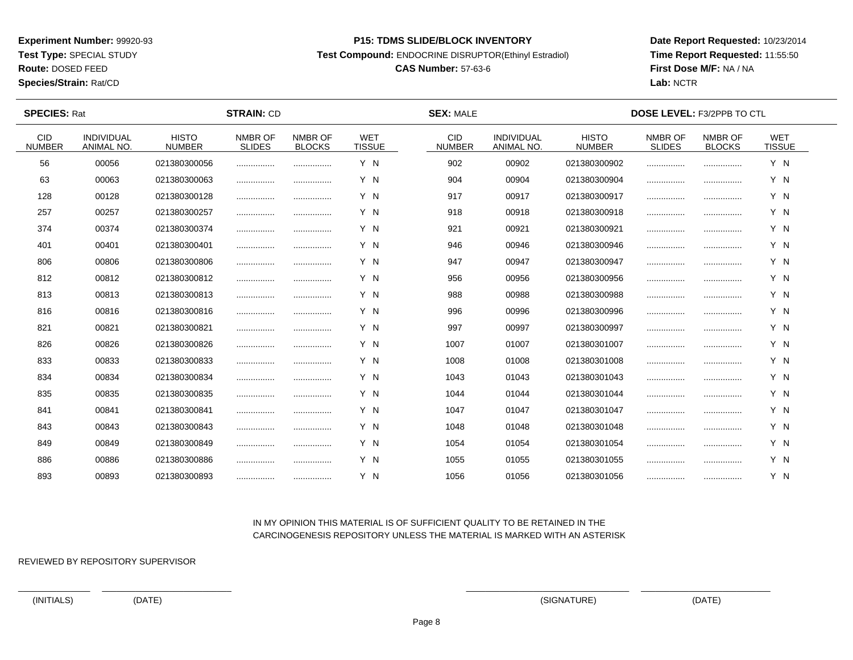**Test Type:** SPECIAL STUDY

**Route:** DOSED FEED

**Species/Strain:** Rat/CD

#### **P15: TDMS SLIDE/BLOCK INVENTORY**

**Test Compound:** ENDOCRINE DISRUPTOR(Ethinyl Estradiol)

# **CAS Number:** 57-63-6

**Date Report Requested:** 10/23/2014**Time Report Requested:** 11:55:50**First Dose M/F:** NA / NA**Lab:** NCTR

| <b>SPECIES: Rat</b>         |                                 |                               | <b>STRAIN: CD</b>        |                          |                             | <b>SEX: MALE</b>            |                                        |                               | <b>DOSE LEVEL: F3/2PPB TO CTL</b> |                          |                             |  |
|-----------------------------|---------------------------------|-------------------------------|--------------------------|--------------------------|-----------------------------|-----------------------------|----------------------------------------|-------------------------------|-----------------------------------|--------------------------|-----------------------------|--|
| <b>CID</b><br><b>NUMBER</b> | <b>INDIVIDUAL</b><br>ANIMAL NO. | <b>HISTO</b><br><b>NUMBER</b> | NMBR OF<br><b>SLIDES</b> | NMBR OF<br><b>BLOCKS</b> | <b>WET</b><br><b>TISSUE</b> | <b>CID</b><br><b>NUMBER</b> | <b>INDIVIDUAL</b><br><b>ANIMAL NO.</b> | <b>HISTO</b><br><b>NUMBER</b> | NMBR OF<br><b>SLIDES</b>          | NMBR OF<br><b>BLOCKS</b> | <b>WET</b><br><b>TISSUE</b> |  |
| 56                          | 00056                           | 021380300056                  |                          |                          | Y N                         | 902                         | 00902                                  | 021380300902                  |                                   |                          | Y N                         |  |
| 63                          | 00063                           | 021380300063                  |                          |                          | Y N                         | 904                         | 00904                                  | 021380300904                  |                                   |                          | Y N                         |  |
| 128                         | 00128                           | 021380300128                  |                          |                          | Y N                         | 917                         | 00917                                  | 021380300917                  |                                   |                          | Y N                         |  |
| 257                         | 00257                           | 021380300257                  |                          |                          | Y N                         | 918                         | 00918                                  | 021380300918                  |                                   |                          | Y N                         |  |
| 374                         | 00374                           | 021380300374                  |                          |                          | Y N                         | 921                         | 00921                                  | 021380300921                  |                                   |                          | Y N                         |  |
| 401                         | 00401                           | 021380300401                  |                          |                          | Y N                         | 946                         | 00946                                  | 021380300946                  |                                   |                          | Y N                         |  |
| 806                         | 00806                           | 021380300806                  |                          |                          | Y N                         | 947                         | 00947                                  | 021380300947                  |                                   |                          | Y N                         |  |
| 812                         | 00812                           | 021380300812                  |                          |                          | Y N                         | 956                         | 00956                                  | 021380300956                  |                                   |                          | Y N                         |  |
| 813                         | 00813                           | 021380300813                  |                          | .                        | Y N                         | 988                         | 00988                                  | 021380300988                  |                                   |                          | Y N                         |  |
| 816                         | 00816                           | 021380300816                  |                          |                          | Y N                         | 996                         | 00996                                  | 021380300996                  |                                   |                          | Y N                         |  |
| 821                         | 00821                           | 021380300821                  |                          |                          | Y N                         | 997                         | 00997                                  | 021380300997                  |                                   |                          | Y N                         |  |
| 826                         | 00826                           | 021380300826                  |                          |                          | Y N                         | 1007                        | 01007                                  | 021380301007                  |                                   |                          | Y N                         |  |
| 833                         | 00833                           | 021380300833                  |                          |                          | Y N                         | 1008                        | 01008                                  | 021380301008                  |                                   |                          | Y N                         |  |
| 834                         | 00834                           | 021380300834                  |                          | .                        | Y N                         | 1043                        | 01043                                  | 021380301043                  |                                   |                          | Y N                         |  |
| 835                         | 00835                           | 021380300835                  |                          |                          | Y N                         | 1044                        | 01044                                  | 021380301044                  |                                   |                          | Y N                         |  |
| 841                         | 00841                           | 021380300841                  |                          |                          | Y N                         | 1047                        | 01047                                  | 021380301047                  |                                   |                          | Y N                         |  |
| 843                         | 00843                           | 021380300843                  |                          |                          | Y N                         | 1048                        | 01048                                  | 021380301048                  |                                   |                          | Y N                         |  |
| 849                         | 00849                           | 021380300849                  |                          |                          | Y N                         | 1054                        | 01054                                  | 021380301054                  |                                   |                          | Y N                         |  |
| 886                         | 00886                           | 021380300886                  |                          |                          | Y N                         | 1055                        | 01055                                  | 021380301055                  |                                   |                          | Y N                         |  |
| 893                         | 00893                           | 021380300893                  |                          |                          | Y N                         | 1056                        | 01056                                  | 021380301056                  |                                   |                          | Y N                         |  |

## IN MY OPINION THIS MATERIAL IS OF SUFFICIENT QUALITY TO BE RETAINED IN THECARCINOGENESIS REPOSITORY UNLESS THE MATERIAL IS MARKED WITH AN ASTERISK

REVIEWED BY REPOSITORY SUPERVISOR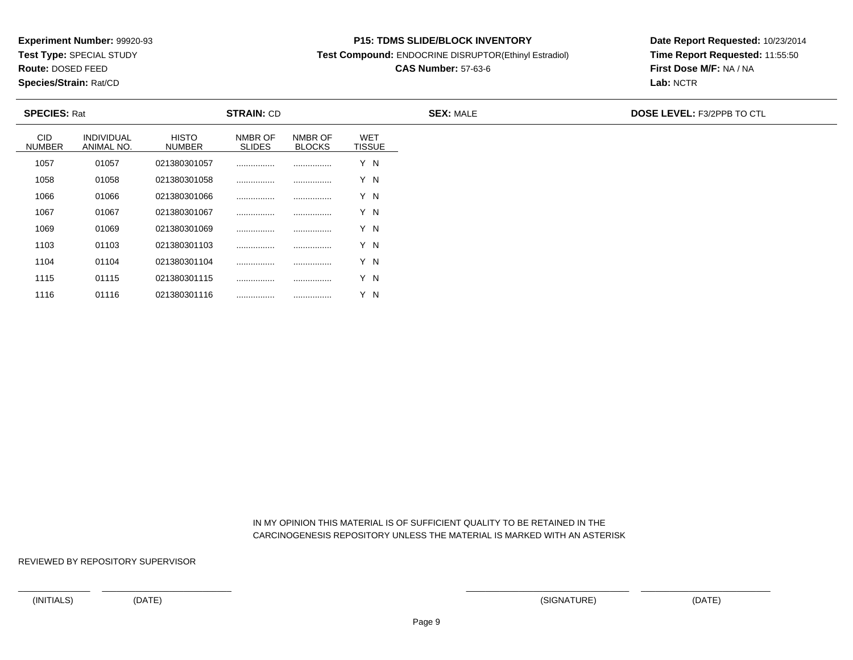**Test Type:** SPECIAL STUDY

**Route:** DOSED FEED

1116

**Species/Strain:** Rat/CD

#### **P15: TDMS SLIDE/BLOCK INVENTORY**

**Test Compound:** ENDOCRINE DISRUPTOR(Ethinyl Estradiol)

# **CAS Number:** 57-63-6

**Date Report Requested:** 10/23/2014**Time Report Requested:** 11:55:50**First Dose M/F:** NA / NA**Lab:** NCTR

| <b>SPECIES: Rat</b>         |                                 |                               | <b>STRAIN: CD</b>        |                          |                             | <b>SEX: MALE</b> | <b>DOSE LEVEL: F3/2PPB TO CTL</b> |
|-----------------------------|---------------------------------|-------------------------------|--------------------------|--------------------------|-----------------------------|------------------|-----------------------------------|
| <b>CID</b><br><b>NUMBER</b> | <b>INDIVIDUAL</b><br>ANIMAL NO. | <b>HISTO</b><br><b>NUMBER</b> | NMBR OF<br><b>SLIDES</b> | NMBR OF<br><b>BLOCKS</b> | <b>WET</b><br><b>TISSUE</b> |                  |                                   |
| 1057                        | 01057                           | 021380301057                  |                          |                          | Y N                         |                  |                                   |
| 1058                        | 01058                           | 021380301058                  |                          |                          | Y N                         |                  |                                   |
| 1066                        | 01066                           | 021380301066                  | .                        |                          | Y N                         |                  |                                   |
| 1067                        | 01067                           | 021380301067                  | .                        |                          | Y N                         |                  |                                   |
| 1069                        | 01069                           | 021380301069                  |                          |                          | Y N                         |                  |                                   |
| 1103                        | 01103                           | 021380301103                  |                          |                          | Y N                         |                  |                                   |
| 1104                        | 01104                           | 021380301104                  |                          |                          | Y N                         |                  |                                   |
| 1115                        | 01115                           | 021380301115                  |                          |                          | Y N                         |                  |                                   |

## IN MY OPINION THIS MATERIAL IS OF SUFFICIENT QUALITY TO BE RETAINED IN THECARCINOGENESIS REPOSITORY UNLESS THE MATERIAL IS MARKED WITH AN ASTERISK

REVIEWED BY REPOSITORY SUPERVISOR

<sup>01116</sup> <sup>021380301116</sup> ................ ................ Y N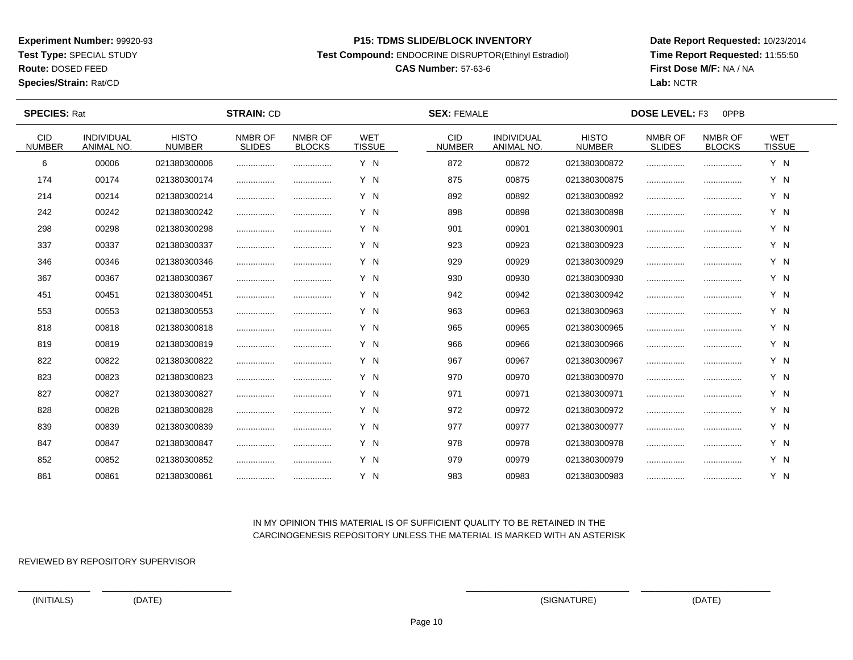**Test Type:** SPECIAL STUDY

**Route:** DOSED FEED

**Species/Strain:** Rat/CD

#### **P15: TDMS SLIDE/BLOCK INVENTORY**

**Test Compound:** ENDOCRINE DISRUPTOR(Ethinyl Estradiol)

# **CAS Number:** 57-63-6

**Date Report Requested:** 10/23/2014**Time Report Requested:** 11:55:50**First Dose M/F:** NA / NA**Lab:** NCTR

 $\overline{\phantom{a}}$ 

| <b>SPECIES: Rat</b>         |                                 |                               | <b>STRAIN: CD</b>        |                          |                             | <b>SEX: FEMALE</b>          |                                 |                               | <b>DOSE LEVEL: F3</b><br>0PPB |                          |                             |  |
|-----------------------------|---------------------------------|-------------------------------|--------------------------|--------------------------|-----------------------------|-----------------------------|---------------------------------|-------------------------------|-------------------------------|--------------------------|-----------------------------|--|
| <b>CID</b><br><b>NUMBER</b> | <b>INDIVIDUAL</b><br>ANIMAL NO. | <b>HISTO</b><br><b>NUMBER</b> | NMBR OF<br><b>SLIDES</b> | NMBR OF<br><b>BLOCKS</b> | <b>WET</b><br><b>TISSUE</b> | <b>CID</b><br><b>NUMBER</b> | <b>INDIVIDUAL</b><br>ANIMAL NO. | <b>HISTO</b><br><b>NUMBER</b> | NMBR OF<br><b>SLIDES</b>      | NMBR OF<br><b>BLOCKS</b> | <b>WET</b><br><b>TISSUE</b> |  |
| 6                           | 00006                           | 021380300006                  |                          |                          | Y N                         | 872                         | 00872                           | 021380300872                  |                               |                          | Y N                         |  |
| 174                         | 00174                           | 021380300174                  | .                        |                          | Y N                         | 875                         | 00875                           | 021380300875                  | .                             |                          | Y N                         |  |
| 214                         | 00214                           | 021380300214                  |                          |                          | Y N                         | 892                         | 00892                           | 021380300892                  |                               |                          | Y N                         |  |
| 242                         | 00242                           | 021380300242                  |                          |                          | Y N                         | 898                         | 00898                           | 021380300898                  |                               |                          | Y N                         |  |
| 298                         | 00298                           | 021380300298                  |                          |                          | Y N                         | 901                         | 00901                           | 021380300901                  |                               |                          | Y N                         |  |
| 337                         | 00337                           | 021380300337                  |                          |                          | Y N                         | 923                         | 00923                           | 021380300923                  |                               |                          | Y N                         |  |
| 346                         | 00346                           | 021380300346                  |                          |                          | Y N                         | 929                         | 00929                           | 021380300929                  |                               |                          | Y N                         |  |
| 367                         | 00367                           | 021380300367                  |                          |                          | Y N                         | 930                         | 00930                           | 021380300930                  |                               |                          | Y N                         |  |
| 451                         | 00451                           | 021380300451                  |                          |                          | Y N                         | 942                         | 00942                           | 021380300942                  |                               |                          | Y N                         |  |
| 553                         | 00553                           | 021380300553                  |                          |                          | Y N                         | 963                         | 00963                           | 021380300963                  |                               |                          | Y N                         |  |
| 818                         | 00818                           | 021380300818                  |                          |                          | Y N                         | 965                         | 00965                           | 021380300965                  |                               |                          | Y N                         |  |
| 819                         | 00819                           | 021380300819                  |                          |                          | Y N                         | 966                         | 00966                           | 021380300966                  |                               |                          | Y N                         |  |
| 822                         | 00822                           | 021380300822                  |                          |                          | Y N                         | 967                         | 00967                           | 021380300967                  |                               |                          | Y N                         |  |
| 823                         | 00823                           | 021380300823                  |                          |                          | Y N                         | 970                         | 00970                           | 021380300970                  |                               |                          | Y N                         |  |
| 827                         | 00827                           | 021380300827                  |                          |                          | Y N                         | 971                         | 00971                           | 021380300971                  |                               |                          | Y N                         |  |
| 828                         | 00828                           | 021380300828                  |                          |                          | Y N                         | 972                         | 00972                           | 021380300972                  |                               |                          | Y N                         |  |
| 839                         | 00839                           | 021380300839                  |                          | .                        | Y N                         | 977                         | 00977                           | 021380300977                  |                               | .                        | Y N                         |  |
| 847                         | 00847                           | 021380300847                  |                          |                          | Y N                         | 978                         | 00978                           | 021380300978                  |                               |                          | Y N                         |  |
| 852                         | 00852                           | 021380300852                  |                          |                          | Y N                         | 979                         | 00979                           | 021380300979                  |                               |                          | Y N                         |  |
| 861                         | 00861                           | 021380300861                  |                          |                          | Y N                         | 983                         | 00983                           | 021380300983                  |                               |                          | Y N                         |  |

## IN MY OPINION THIS MATERIAL IS OF SUFFICIENT QUALITY TO BE RETAINED IN THECARCINOGENESIS REPOSITORY UNLESS THE MATERIAL IS MARKED WITH AN ASTERISK

REVIEWED BY REPOSITORY SUPERVISOR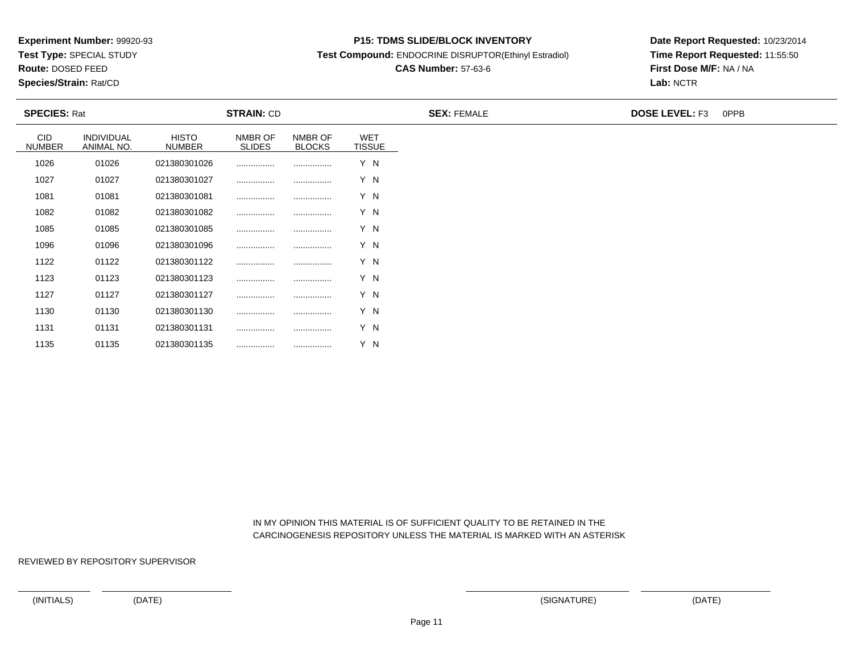**Test Type:** SPECIAL STUDY

**Route:** DOSED FEED

**Species/Strain:** Rat/CD

#### **P15: TDMS SLIDE/BLOCK INVENTORY**

**Test Compound:** ENDOCRINE DISRUPTOR(Ethinyl Estradiol)

# **CAS Number:** 57-63-6

**Date Report Requested:** 10/23/2014**Time Report Requested:** 11:55:50**First Dose M/F:** NA / NA**Lab:** NCTR

| <b>SPECIES: Rat</b>         |                          |                               | <b>STRAIN: CD</b>        |                          |                             | <b>SEX: FEMALE</b> | <b>DOSE LEVEL: F3</b><br>0PPB |
|-----------------------------|--------------------------|-------------------------------|--------------------------|--------------------------|-----------------------------|--------------------|-------------------------------|
| <b>CID</b><br><b>NUMBER</b> | INDIVIDUAL<br>ANIMAL NO. | <b>HISTO</b><br><b>NUMBER</b> | NMBR OF<br><b>SLIDES</b> | NMBR OF<br><b>BLOCKS</b> | <b>WET</b><br><b>TISSUE</b> |                    |                               |
| 1026                        | 01026                    | 021380301026                  |                          |                          | Y N                         |                    |                               |
| 1027                        | 01027                    | 021380301027                  |                          |                          | Y N                         |                    |                               |
| 1081                        | 01081                    | 021380301081                  |                          |                          | Y N                         |                    |                               |
| 1082                        | 01082                    | 021380301082                  |                          |                          | Y N                         |                    |                               |
| 1085                        | 01085                    | 021380301085                  |                          |                          | Y N                         |                    |                               |
| 1096                        | 01096                    | 021380301096                  |                          |                          | Y N                         |                    |                               |
| 1122                        | 01122                    | 021380301122                  |                          |                          | Y N                         |                    |                               |
| 1123                        | 01123                    | 021380301123                  |                          |                          | Y N                         |                    |                               |
| 1127                        | 01127                    | 021380301127                  |                          |                          | Y N                         |                    |                               |
| 1130                        | 01130                    | 021380301130                  |                          |                          | Y N                         |                    |                               |
| 1131                        | 01131                    | 021380301131                  |                          |                          | Y N                         |                    |                               |

 IN MY OPINION THIS MATERIAL IS OF SUFFICIENT QUALITY TO BE RETAINED IN THECARCINOGENESIS REPOSITORY UNLESS THE MATERIAL IS MARKED WITH AN ASTERISK

REVIEWED BY REPOSITORY SUPERVISOR

<sup>01135</sup> <sup>021380301135</sup> ................ ................ Y N

1135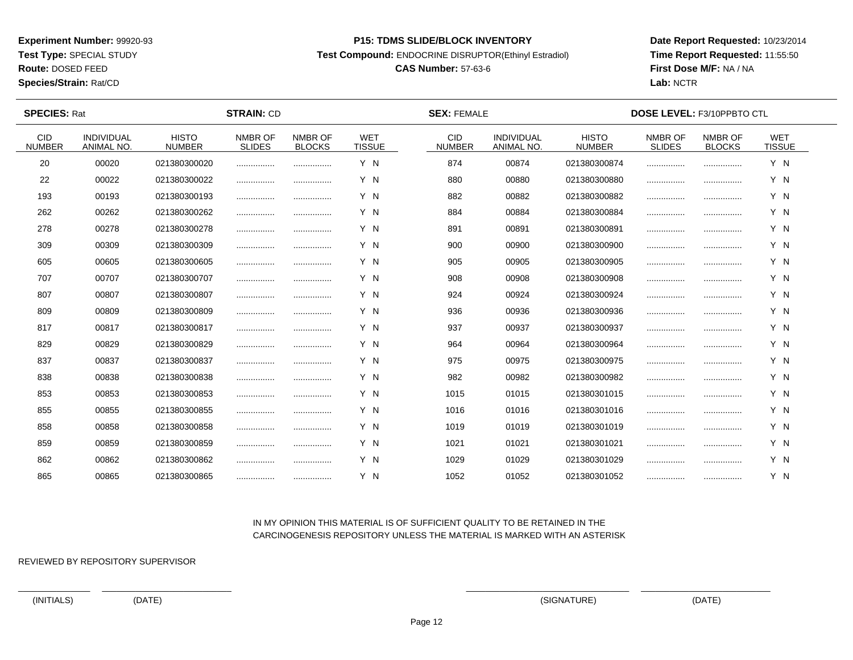**Test Type:** SPECIAL STUDY

**Route:** DOSED FEED

**Species/Strain:** Rat/CD

#### **P15: TDMS SLIDE/BLOCK INVENTORY**

**Test Compound:** ENDOCRINE DISRUPTOR(Ethinyl Estradiol)

# **CAS Number:** 57-63-6

**Date Report Requested:** 10/23/2014**Time Report Requested:** 11:55:50**First Dose M/F:** NA / NA**Lab:** NCTR

 $\overline{\phantom{a}}$ 

| <b>SPECIES: Rat</b>         |                                 |                               |                          |                          | <b>SEX: FEMALE</b>          | <b>DOSE LEVEL: F3/10PPBTO CTL</b> |                                 |                               |                          |                          |                             |  |
|-----------------------------|---------------------------------|-------------------------------|--------------------------|--------------------------|-----------------------------|-----------------------------------|---------------------------------|-------------------------------|--------------------------|--------------------------|-----------------------------|--|
| <b>CID</b><br><b>NUMBER</b> | <b>INDIVIDUAL</b><br>ANIMAL NO. | <b>HISTO</b><br><b>NUMBER</b> | NMBR OF<br><b>SLIDES</b> | NMBR OF<br><b>BLOCKS</b> | <b>WET</b><br><b>TISSUE</b> | <b>CID</b><br><b>NUMBER</b>       | <b>INDIVIDUAL</b><br>ANIMAL NO. | <b>HISTO</b><br><b>NUMBER</b> | NMBR OF<br><b>SLIDES</b> | NMBR OF<br><b>BLOCKS</b> | <b>WET</b><br><b>TISSUE</b> |  |
| 20                          | 00020                           | 021380300020                  |                          |                          | Y N                         | 874                               | 00874                           | 021380300874                  |                          |                          | Y N                         |  |
| 22                          | 00022                           | 021380300022                  |                          |                          | Y N                         | 880                               | 00880                           | 021380300880                  |                          |                          | Y N                         |  |
| 193                         | 00193                           | 021380300193                  |                          |                          | Y N                         | 882                               | 00882                           | 021380300882                  |                          |                          | Y N                         |  |
| 262                         | 00262                           | 021380300262                  |                          |                          | Y N                         | 884                               | 00884                           | 021380300884                  |                          |                          | Y N                         |  |
| 278                         | 00278                           | 021380300278                  |                          |                          | Y N                         | 891                               | 00891                           | 021380300891                  |                          |                          | Y N                         |  |
| 309                         | 00309                           | 021380300309                  |                          |                          | Y N                         | 900                               | 00900                           | 021380300900                  |                          |                          | Y N                         |  |
| 605                         | 00605                           | 021380300605                  |                          |                          | Y N                         | 905                               | 00905                           | 021380300905                  |                          |                          | Y N                         |  |
| 707                         | 00707                           | 021380300707                  |                          |                          | Y N                         | 908                               | 00908                           | 021380300908                  |                          |                          | Y N                         |  |
| 807                         | 00807                           | 021380300807                  |                          |                          | Y N                         | 924                               | 00924                           | 021380300924                  |                          |                          | Y N                         |  |
| 809                         | 00809                           | 021380300809                  |                          |                          | Y N                         | 936                               | 00936                           | 021380300936                  |                          |                          | Y N                         |  |
| 817                         | 00817                           | 021380300817                  |                          |                          | Y N                         | 937                               | 00937                           | 021380300937                  |                          |                          | Y N                         |  |
| 829                         | 00829                           | 021380300829                  |                          |                          | Y N                         | 964                               | 00964                           | 021380300964                  |                          |                          | Y N                         |  |
| 837                         | 00837                           | 021380300837                  |                          |                          | Y N                         | 975                               | 00975                           | 021380300975                  |                          |                          | Y N                         |  |
| 838                         | 00838                           | 021380300838                  |                          | .                        | Y N                         | 982                               | 00982                           | 021380300982                  |                          |                          | Y N                         |  |
| 853                         | 00853                           | 021380300853                  |                          |                          | Y N                         | 1015                              | 01015                           | 021380301015                  |                          |                          | Y N                         |  |
| 855                         | 00855                           | 021380300855                  |                          |                          | Y N                         | 1016                              | 01016                           | 021380301016                  |                          |                          | Y N                         |  |
| 858                         | 00858                           | 021380300858                  | .                        |                          | Y N                         | 1019                              | 01019                           | 021380301019                  |                          |                          | Y N                         |  |
| 859                         | 00859                           | 021380300859                  |                          |                          | Y N                         | 1021                              | 01021                           | 021380301021                  |                          |                          | Y N                         |  |
| 862                         | 00862                           | 021380300862                  |                          |                          | Y N                         | 1029                              | 01029                           | 021380301029                  |                          |                          | Y N                         |  |
| 865                         | 00865                           | 021380300865                  |                          |                          | Y N                         | 1052                              | 01052                           | 021380301052                  |                          |                          | Y N                         |  |

## IN MY OPINION THIS MATERIAL IS OF SUFFICIENT QUALITY TO BE RETAINED IN THECARCINOGENESIS REPOSITORY UNLESS THE MATERIAL IS MARKED WITH AN ASTERISK

REVIEWED BY REPOSITORY SUPERVISOR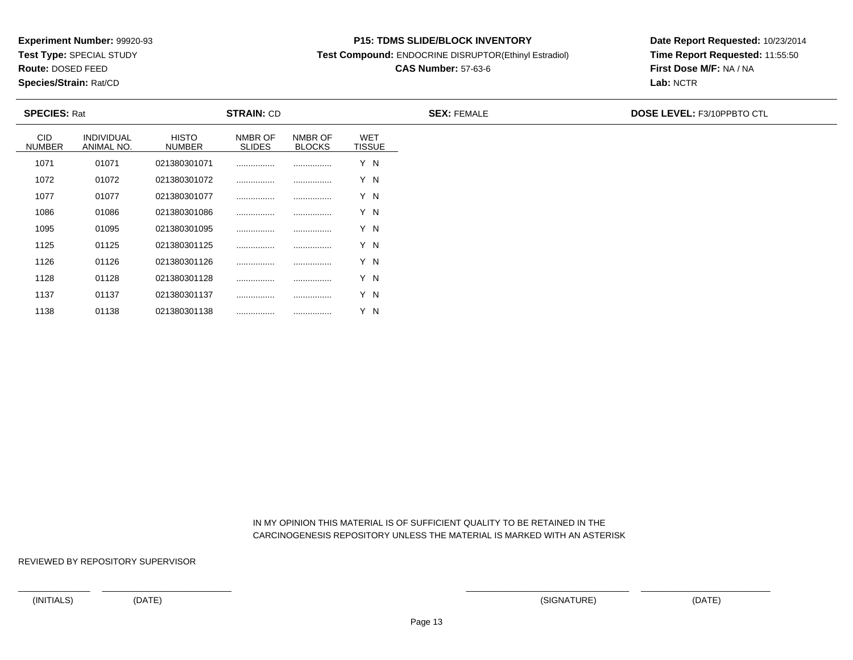**Test Type:** SPECIAL STUDY

**Route:** DOSED FEED

1138

**Species/Strain:** Rat/CD

#### **P15: TDMS SLIDE/BLOCK INVENTORY**

**Test Compound:** ENDOCRINE DISRUPTOR(Ethinyl Estradiol)

# **CAS Number:** 57-63-6

**Date Report Requested:** 10/23/2014**Time Report Requested:** 11:55:50**First Dose M/F:** NA / NA**Lab:** NCTR

| <b>SPECIES: Rat</b>         |                                 |                               | <b>STRAIN: CD</b>        |                          |                             | <b>SEX: FEMALE</b> | <b>DOSE LEVEL: F3/10PPBTO CTL</b> |
|-----------------------------|---------------------------------|-------------------------------|--------------------------|--------------------------|-----------------------------|--------------------|-----------------------------------|
| <b>CID</b><br><b>NUMBER</b> | <b>INDIVIDUAL</b><br>ANIMAL NO. | <b>HISTO</b><br><b>NUMBER</b> | NMBR OF<br><b>SLIDES</b> | NMBR OF<br><b>BLOCKS</b> | <b>WET</b><br><b>TISSUE</b> |                    |                                   |
| 1071                        | 01071                           | 021380301071                  |                          |                          | Y N                         |                    |                                   |
| 1072                        | 01072                           | 021380301072                  |                          |                          | Y N                         |                    |                                   |
| 1077                        | 01077                           | 021380301077                  |                          |                          | Y N                         |                    |                                   |
| 1086                        | 01086                           | 021380301086                  |                          |                          | Y N                         |                    |                                   |
| 1095                        | 01095                           | 021380301095                  |                          |                          | Y N                         |                    |                                   |
| 1125                        | 01125                           | 021380301125                  |                          |                          | Y N                         |                    |                                   |
| 1126                        | 01126                           | 021380301126                  |                          |                          | Y N                         |                    |                                   |
| 1128                        | 01128                           | 021380301128                  |                          |                          | Y N                         |                    |                                   |
| 1137                        | 01137                           | 021380301137                  |                          |                          | Y N                         |                    |                                   |

 IN MY OPINION THIS MATERIAL IS OF SUFFICIENT QUALITY TO BE RETAINED IN THECARCINOGENESIS REPOSITORY UNLESS THE MATERIAL IS MARKED WITH AN ASTERISK

REVIEWED BY REPOSITORY SUPERVISOR

<sup>01138</sup> <sup>021380301138</sup> ................ ................ Y N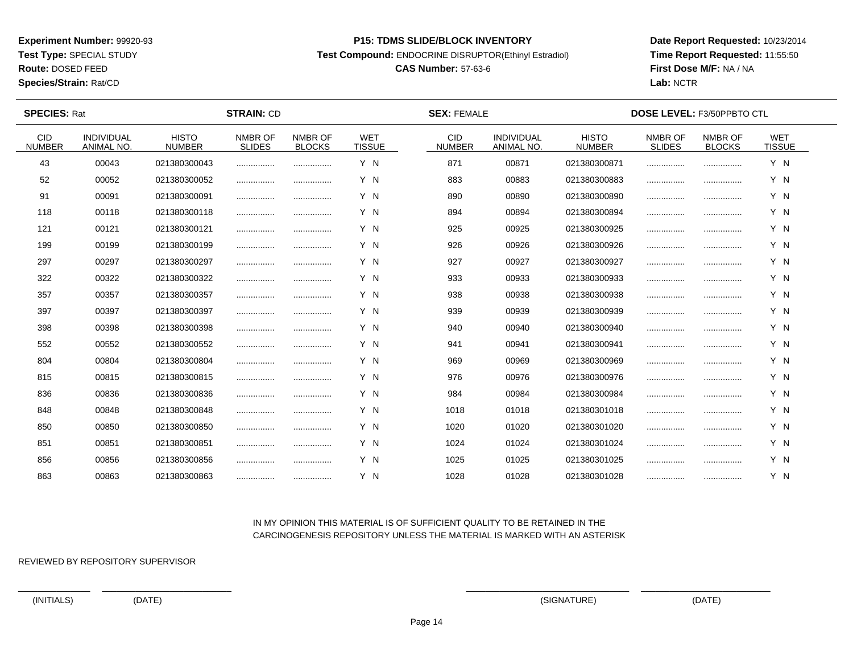**Test Type:** SPECIAL STUDY

**Route:** DOSED FEED

**Species/Strain:** Rat/CD

#### **P15: TDMS SLIDE/BLOCK INVENTORY**

**Test Compound:** ENDOCRINE DISRUPTOR(Ethinyl Estradiol)

# **CAS Number:** 57-63-6

**Date Report Requested:** 10/23/2014**Time Report Requested:** 11:55:50**First Dose M/F:** NA / NA**Lab:** NCTR

 $\overline{\phantom{a}}$ 

| <b>SPECIES: Rat</b>         |                                 |                               | <b>STRAIN: CD</b>        |                          |                             | <b>SEX: FEMALE</b>          | <b>DOSE LEVEL: F3/50PPBTO CTL</b> |                               |                          |                          |                             |  |
|-----------------------------|---------------------------------|-------------------------------|--------------------------|--------------------------|-----------------------------|-----------------------------|-----------------------------------|-------------------------------|--------------------------|--------------------------|-----------------------------|--|
| <b>CID</b><br><b>NUMBER</b> | <b>INDIVIDUAL</b><br>ANIMAL NO. | <b>HISTO</b><br><b>NUMBER</b> | NMBR OF<br><b>SLIDES</b> | NMBR OF<br><b>BLOCKS</b> | <b>WET</b><br><b>TISSUE</b> | <b>CID</b><br><b>NUMBER</b> | <b>INDIVIDUAL</b><br>ANIMAL NO.   | <b>HISTO</b><br><b>NUMBER</b> | NMBR OF<br><b>SLIDES</b> | NMBR OF<br><b>BLOCKS</b> | <b>WET</b><br><b>TISSUE</b> |  |
| 43                          | 00043                           | 021380300043                  |                          |                          | Y N                         | 871                         | 00871                             | 021380300871                  |                          |                          | Y N                         |  |
| 52                          | 00052                           | 021380300052                  |                          |                          | Y N                         | 883                         | 00883                             | 021380300883                  |                          |                          | Y N                         |  |
| 91                          | 00091                           | 021380300091                  |                          |                          | Y N                         | 890                         | 00890                             | 021380300890                  |                          |                          | Y N                         |  |
| 118                         | 00118                           | 021380300118                  |                          |                          | Y N                         | 894                         | 00894                             | 021380300894                  |                          |                          | Y N                         |  |
| 121                         | 00121                           | 021380300121                  |                          |                          | Y N                         | 925                         | 00925                             | 021380300925                  | .                        |                          | Y N                         |  |
| 199                         | 00199                           | 021380300199                  |                          |                          | Y N                         | 926                         | 00926                             | 021380300926                  |                          |                          | Y N                         |  |
| 297                         | 00297                           | 021380300297                  |                          |                          | Y N                         | 927                         | 00927                             | 021380300927                  |                          |                          | Y N                         |  |
| 322                         | 00322                           | 021380300322                  |                          |                          | Y N                         | 933                         | 00933                             | 021380300933                  |                          |                          | Y N                         |  |
| 357                         | 00357                           | 021380300357                  |                          |                          | Y N                         | 938                         | 00938                             | 021380300938                  |                          |                          | Y N                         |  |
| 397                         | 00397                           | 021380300397                  |                          |                          | Y N                         | 939                         | 00939                             | 021380300939                  |                          |                          | Y N                         |  |
| 398                         | 00398                           | 021380300398                  |                          |                          | Y N                         | 940                         | 00940                             | 021380300940                  |                          |                          | Y N                         |  |
| 552                         | 00552                           | 021380300552                  |                          |                          | Y N                         | 941                         | 00941                             | 021380300941                  |                          |                          | Y N                         |  |
| 804                         | 00804                           | 021380300804                  |                          |                          | Y N                         | 969                         | 00969                             | 021380300969                  |                          |                          | Y N                         |  |
| 815                         | 00815                           | 021380300815                  |                          | .                        | Y N                         | 976                         | 00976                             | 021380300976                  |                          |                          | Y N                         |  |
| 836                         | 00836                           | 021380300836                  |                          |                          | Y N                         | 984                         | 00984                             | 021380300984                  |                          |                          | Y N                         |  |
| 848                         | 00848                           | 021380300848                  |                          |                          | Y N                         | 1018                        | 01018                             | 021380301018                  |                          |                          | Y N                         |  |
| 850                         | 00850                           | 021380300850                  |                          | .                        | Y N                         | 1020                        | 01020                             | 021380301020                  |                          |                          | Y N                         |  |
| 851                         | 00851                           | 021380300851                  |                          |                          | Y N                         | 1024                        | 01024                             | 021380301024                  |                          |                          | Y N                         |  |
| 856                         | 00856                           | 021380300856                  |                          |                          | Y N                         | 1025                        | 01025                             | 021380301025                  |                          |                          | Y N                         |  |
| 863                         | 00863                           | 021380300863                  |                          |                          | Y N                         | 1028                        | 01028                             | 021380301028                  |                          |                          | Y N                         |  |

## IN MY OPINION THIS MATERIAL IS OF SUFFICIENT QUALITY TO BE RETAINED IN THECARCINOGENESIS REPOSITORY UNLESS THE MATERIAL IS MARKED WITH AN ASTERISK

REVIEWED BY REPOSITORY SUPERVISOR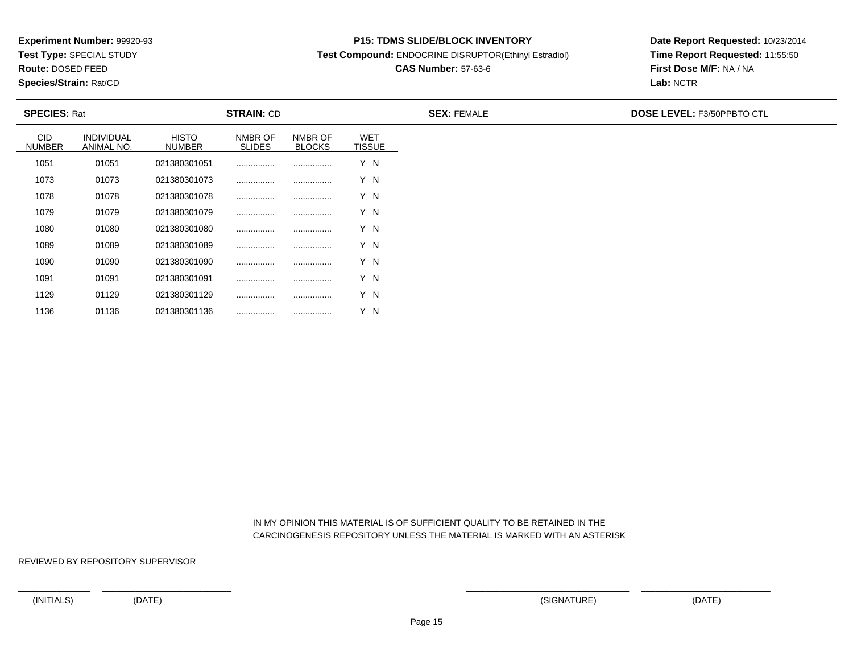**Test Type:** SPECIAL STUDY

**Route:** DOSED FEED

1136

**Species/Strain:** Rat/CD

#### **P15: TDMS SLIDE/BLOCK INVENTORY**

**Test Compound:** ENDOCRINE DISRUPTOR(Ethinyl Estradiol)

# **CAS Number:** 57-63-6

**Date Report Requested:** 10/23/2014**Time Report Requested:** 11:55:50**First Dose M/F:** NA / NA**Lab:** NCTR

| <b>SPECIES: Rat</b>         |                                 |                        | <b>STRAIN: CD</b>        |                          |                             | <b>SEX: FEMALE</b> | <b>DOSE LEVEL: F3/50PPBTO CTL</b> |
|-----------------------------|---------------------------------|------------------------|--------------------------|--------------------------|-----------------------------|--------------------|-----------------------------------|
| <b>CID</b><br><b>NUMBER</b> | <b>INDIVIDUAL</b><br>ANIMAL NO. | <b>HISTO</b><br>NUMBER | NMBR OF<br><b>SLIDES</b> | NMBR OF<br><b>BLOCKS</b> | <b>WET</b><br><b>TISSUE</b> |                    |                                   |
| 1051                        | 01051                           | 021380301051           |                          |                          | Y N                         |                    |                                   |
| 1073                        | 01073                           | 021380301073           |                          |                          | Y N                         |                    |                                   |
| 1078                        | 01078                           | 021380301078           |                          |                          | Y N                         |                    |                                   |
| 1079                        | 01079                           | 021380301079           |                          |                          | Y N                         |                    |                                   |
| 1080                        | 01080                           | 021380301080           |                          |                          | Y N                         |                    |                                   |
| 1089                        | 01089                           | 021380301089           |                          |                          | Y N                         |                    |                                   |
| 1090                        | 01090                           | 021380301090           |                          |                          | Y N                         |                    |                                   |
| 1091                        | 01091                           | 021380301091           |                          |                          | Y N                         |                    |                                   |
| 1129                        | 01129                           | 021380301129           |                          |                          | Y N                         |                    |                                   |

 IN MY OPINION THIS MATERIAL IS OF SUFFICIENT QUALITY TO BE RETAINED IN THECARCINOGENESIS REPOSITORY UNLESS THE MATERIAL IS MARKED WITH AN ASTERISK

REVIEWED BY REPOSITORY SUPERVISOR

<sup>01136</sup> <sup>021380301136</sup> ................ ................ Y N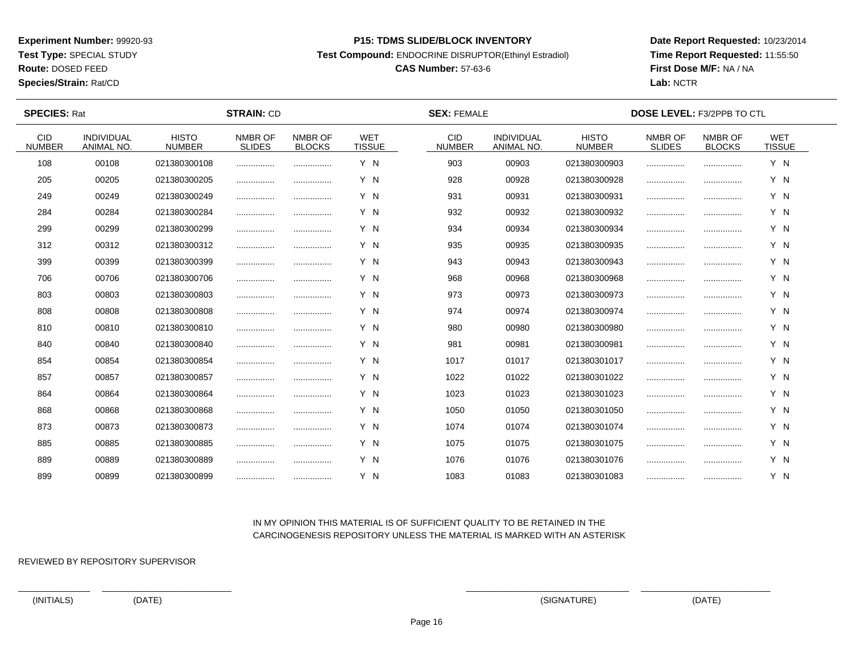**Test Type:** SPECIAL STUDY

**Route:** DOSED FEED

**Species/Strain:** Rat/CD

#### **P15: TDMS SLIDE/BLOCK INVENTORY**

**Test Compound:** ENDOCRINE DISRUPTOR(Ethinyl Estradiol)

# **CAS Number:** 57-63-6

**Date Report Requested:** 10/23/2014**Time Report Requested:** 11:55:50**First Dose M/F:** NA / NA**Lab:** NCTR

| <b>SPECIES: Rat</b>         |                                 | <b>STRAIN: CD</b>             |                          |                          |                             | <b>SEX: FEMALE</b>          | <b>DOSE LEVEL: F3/2PPB TO CTL</b>      |                               |                          |                          |                             |  |
|-----------------------------|---------------------------------|-------------------------------|--------------------------|--------------------------|-----------------------------|-----------------------------|----------------------------------------|-------------------------------|--------------------------|--------------------------|-----------------------------|--|
| <b>CID</b><br><b>NUMBER</b> | <b>INDIVIDUAL</b><br>ANIMAL NO. | <b>HISTO</b><br><b>NUMBER</b> | NMBR OF<br><b>SLIDES</b> | NMBR OF<br><b>BLOCKS</b> | <b>WET</b><br><b>TISSUE</b> | <b>CID</b><br><b>NUMBER</b> | <b>INDIVIDUAL</b><br><b>ANIMAL NO.</b> | <b>HISTO</b><br><b>NUMBER</b> | NMBR OF<br><b>SLIDES</b> | NMBR OF<br><b>BLOCKS</b> | <b>WET</b><br><b>TISSUE</b> |  |
| 108                         | 00108                           | 021380300108                  |                          |                          | Y N                         | 903                         | 00903                                  | 021380300903                  |                          |                          | Y N                         |  |
| 205                         | 00205                           | 021380300205                  |                          |                          | Y N                         | 928                         | 00928                                  | 021380300928                  |                          |                          | Y N                         |  |
| 249                         | 00249                           | 021380300249                  |                          |                          | Y N                         | 931                         | 00931                                  | 021380300931                  |                          |                          | Y N                         |  |
| 284                         | 00284                           | 021380300284                  |                          |                          | Y N                         | 932                         | 00932                                  | 021380300932                  |                          |                          | Y N                         |  |
| 299                         | 00299                           | 021380300299                  | .                        |                          | Y N                         | 934                         | 00934                                  | 021380300934                  |                          |                          | Y N                         |  |
| 312                         | 00312                           | 021380300312                  |                          |                          | Y N                         | 935                         | 00935                                  | 021380300935                  |                          |                          | Y N                         |  |
| 399                         | 00399                           | 021380300399                  |                          |                          | Y N                         | 943                         | 00943                                  | 021380300943                  |                          |                          | Y N                         |  |
| 706                         | 00706                           | 021380300706                  |                          |                          | Y N                         | 968                         | 00968                                  | 021380300968                  |                          |                          | Y N                         |  |
| 803                         | 00803                           | 021380300803                  |                          |                          | Y N                         | 973                         | 00973                                  | 021380300973                  |                          |                          | Y N                         |  |
| 808                         | 00808                           | 021380300808                  |                          |                          | Y N                         | 974                         | 00974                                  | 021380300974                  |                          |                          | Y N                         |  |
| 810                         | 00810                           | 021380300810                  |                          |                          | Y N                         | 980                         | 00980                                  | 021380300980                  |                          |                          | Y N                         |  |
| 840                         | 00840                           | 021380300840                  | .                        |                          | Y N                         | 981                         | 00981                                  | 021380300981                  |                          |                          | Y N                         |  |
| 854                         | 00854                           | 021380300854                  |                          |                          | Y N                         | 1017                        | 01017                                  | 021380301017                  |                          |                          | Y N                         |  |
| 857                         | 00857                           | 021380300857                  |                          |                          | Y N                         | 1022                        | 01022                                  | 021380301022                  |                          |                          | Y N                         |  |
| 864                         | 00864                           | 021380300864                  |                          |                          | Y N                         | 1023                        | 01023                                  | 021380301023                  |                          |                          | Y N                         |  |
| 868                         | 00868                           | 021380300868                  |                          |                          | Y N                         | 1050                        | 01050                                  | 021380301050                  |                          |                          | Y N                         |  |
| 873                         | 00873                           | 021380300873                  |                          | .                        | Y N                         | 1074                        | 01074                                  | 021380301074                  |                          |                          | Y N                         |  |
| 885                         | 00885                           | 021380300885                  |                          |                          | Y N                         | 1075                        | 01075                                  | 021380301075                  |                          |                          | Y N                         |  |
| 889                         | 00889                           | 021380300889                  |                          |                          | Y N                         | 1076                        | 01076                                  | 021380301076                  |                          |                          | Y N                         |  |
| 899                         | 00899                           | 021380300899                  |                          |                          | Y N                         | 1083                        | 01083                                  | 021380301083                  |                          |                          | Y N                         |  |

## IN MY OPINION THIS MATERIAL IS OF SUFFICIENT QUALITY TO BE RETAINED IN THECARCINOGENESIS REPOSITORY UNLESS THE MATERIAL IS MARKED WITH AN ASTERISK

REVIEWED BY REPOSITORY SUPERVISOR